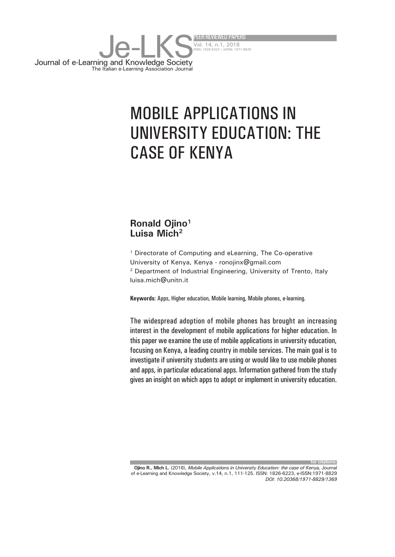

# MOBILE APPLICATIONS IN UNIVERSITY EDUCATION: THE CASE OF KENYA

#### **Ronald Ojino1 Luisa Mich2**

1 Directorate of Computing and eLearning, The Co-operative University of Kenya, Kenya - ronojinx@gmail.com 2 Department of Industrial Engineering, University of Trento, Italy luisa.mich@unitn.it

**Keywords**: Apps, Higher education, Mobile learning, Mobile phones, e-learning.

The widespread adoption of mobile phones has brought an increasing interest in the development of mobile applications for higher education. In this paper we examine the use of mobile applications in university education, focusing on Kenya, a leading country in mobile services. The main goal is to investigate if university students are using or would like to use mobile phones and apps, in particular educational apps. Information gathered from the study gives an insight on which apps to adopt or implement in university education.

**for citations: Ojino R., Mich L.** (2018), *Mobile Applications in University Education: the case of Kenya,* Journal of e-Learning and Knowledge Society, v.14, n.1, 111-125. ISSN: 1826-6223, e-ISSN:1971-8829 *DOI: 10.20368/1971-8829/1369*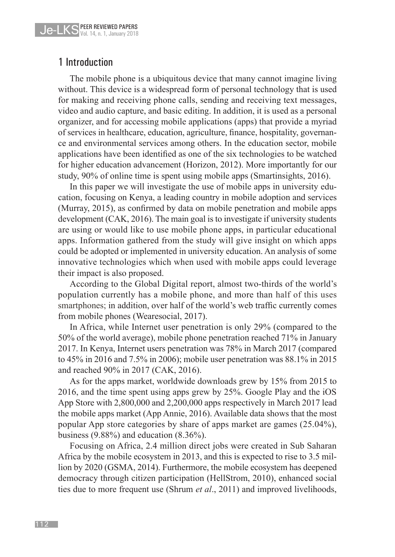## 1 Introduction

The mobile phone is a ubiquitous device that many cannot imagine living without. This device is a widespread form of personal technology that is used for making and receiving phone calls, sending and receiving text messages, video and audio capture, and basic editing. In addition, it is used as a personal organizer, and for accessing mobile applications (apps) that provide a myriad of services in healthcare, education, agriculture, finance, hospitality, governance and environmental services among others. In the education sector, mobile applications have been identified as one of the six technologies to be watched for higher education advancement (Horizon, 2012). More importantly for our study, 90% of online time is spent using mobile apps (Smartinsights, 2016).

In this paper we will investigate the use of mobile apps in university education, focusing on Kenya, a leading country in mobile adoption and services (Murray, 2015), as confirmed by data on mobile penetration and mobile apps development (CAK, 2016). The main goal is to investigate if university students are using or would like to use mobile phone apps, in particular educational apps. Information gathered from the study will give insight on which apps could be adopted or implemented in university education. An analysis of some innovative technologies which when used with mobile apps could leverage their impact is also proposed.

According to the Global Digital report, almost two-thirds of the world's population currently has a mobile phone, and more than half of this uses smartphones; in addition, over half of the world's web traffic currently comes from mobile phones (Wearesocial, 2017).

In Africa, while Internet user penetration is only 29% (compared to the 50% of the world average), mobile phone penetration reached 71% in January 2017. In Kenya, Internet users penetration was 78% in March 2017 (compared to 45% in 2016 and 7.5% in 2006); mobile user penetration was 88.1% in 2015 and reached 90% in 2017 (CAK, 2016).

As for the apps market, worldwide downloads grew by 15% from 2015 to 2016, and the time spent using apps grew by 25%. Google Play and the iOS App Store with 2,800,000 and 2,200,000 apps respectively in March 2017 lead the mobile apps market (App Annie, 2016). Available data shows that the most popular App store categories by share of apps market are games (25.04%), business (9.88%) and education (8.36%).

Focusing on Africa, 2.4 million direct jobs were created in Sub Saharan Africa by the mobile ecosystem in 2013, and this is expected to rise to 3.5 million by 2020 (GSMA, 2014). Furthermore, the mobile ecosystem has deepened democracy through citizen participation (HellStrom, 2010), enhanced social ties due to more frequent use (Shrum *et al*., 2011) and improved livelihoods,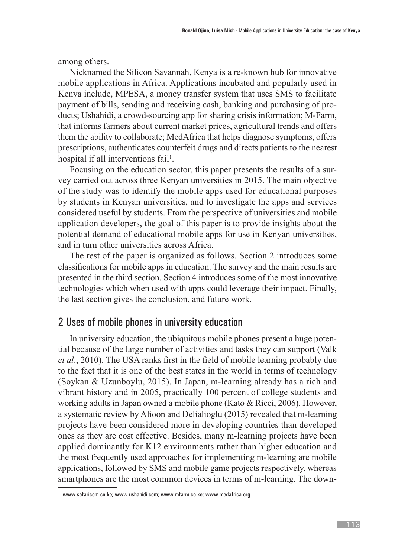among others.

Nicknamed the Silicon Savannah, Kenya is a re-known hub for innovative mobile applications in Africa. Applications incubated and popularly used in Kenya include, MPESA, a money transfer system that uses SMS to facilitate payment of bills, sending and receiving cash, banking and purchasing of products; Ushahidi, a crowd-sourcing app for sharing crisis information; M-Farm, that informs farmers about current market prices, agricultural trends and offers them the ability to collaborate; MedAfrica that helps diagnose symptoms, offers prescriptions, authenticates counterfeit drugs and directs patients to the nearest hospital if all interventions fail<sup>1</sup>.

Focusing on the education sector, this paper presents the results of a survey carried out across three Kenyan universities in 2015. The main objective of the study was to identify the mobile apps used for educational purposes by students in Kenyan universities, and to investigate the apps and services considered useful by students. From the perspective of universities and mobile application developers, the goal of this paper is to provide insights about the potential demand of educational mobile apps for use in Kenyan universities, and in turn other universities across Africa.

The rest of the paper is organized as follows. Section 2 introduces some classifications for mobile apps in education. The survey and the main results are presented in the third section. Section 4 introduces some of the most innovative technologies which when used with apps could leverage their impact. Finally, the last section gives the conclusion, and future work.

#### 2 Uses of mobile phones in university education

In university education, the ubiquitous mobile phones present a huge potential because of the large number of activities and tasks they can support (Valk *et al*., 2010). The USA ranks first in the field of mobile learning probably due to the fact that it is one of the best states in the world in terms of technology (Soykan & Uzunboylu, 2015). In Japan, m-learning already has a rich and vibrant history and in 2005, practically 100 percent of college students and working adults in Japan owned a mobile phone (Kato & Ricci, 2006). However, a systematic review by Alioon and Delialioglu (2015) revealed that m-learning projects have been considered more in developing countries than developed ones as they are cost effective. Besides, many m-learning projects have been applied dominantly for K12 environments rather than higher education and the most frequently used approaches for implementing m-learning are mobile applications, followed by SMS and mobile game projects respectively, whereas smartphones are the most common devices in terms of m-learning. The down-

<sup>1</sup> www.safaricom.co.ke; www.ushahidi.com; www.mfarm.co.ke; www.medafrica.org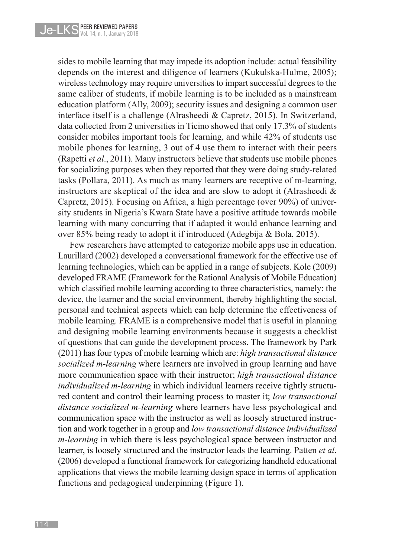sides to mobile learning that may impede its adoption include: actual feasibility depends on the interest and diligence of learners (Kukulska-Hulme, 2005); wireless technology may require universities to impart successful degrees to the same caliber of students, if mobile learning is to be included as a mainstream education platform (Ally, 2009); security issues and designing a common user interface itself is a challenge (Alrasheedi & Capretz, 2015). In Switzerland, data collected from 2 universities in Ticino showed that only 17.3% of students consider mobiles important tools for learning, and while 42% of students use mobile phones for learning, 3 out of 4 use them to interact with their peers (Rapetti *et al*., 2011). Many instructors believe that students use mobile phones for socializing purposes when they reported that they were doing study-related tasks (Pollara, 2011). As much as many learners are receptive of m-learning, instructors are skeptical of the idea and are slow to adopt it (Alrasheedi & Capretz, 2015). Focusing on Africa, a high percentage (over 90%) of university students in Nigeria's Kwara State have a positive attitude towards mobile learning with many concurring that if adapted it would enhance learning and over 85% being ready to adopt it if introduced (Adegbija & Bola, 2015).

Few researchers have attempted to categorize mobile apps use in education. Laurillard (2002) developed a conversational framework for the effective use of learning technologies, which can be applied in a range of subjects. Kole (2009) developed FRAME (Framework for the Rational Analysis of Mobile Education) which classified mobile learning according to three characteristics, namely: the device, the learner and the social environment, thereby highlighting the social, personal and technical aspects which can help determine the effectiveness of mobile learning. FRAME is a comprehensive model that is useful in planning and designing mobile learning environments because it suggests a checklist of questions that can guide the development process. The framework by Park (2011) has four types of mobile learning which are: *high transactional distance socialized m-learning* where learners are involved in group learning and have more communication space with their instructor; *high transactional distance individualized m-learning* in which individual learners receive tightly structured content and control their learning process to master it; *low transactional distance socialized m-learning* where learners have less psychological and communication space with the instructor as well as loosely structured instruction and work together in a group and *low transactional distance individualized m-learning* in which there is less psychological space between instructor and learner, is loosely structured and the instructor leads the learning. Patten *et al*. (2006) developed a functional framework for categorizing handheld educational applications that views the mobile learning design space in terms of application functions and pedagogical underpinning (Figure 1).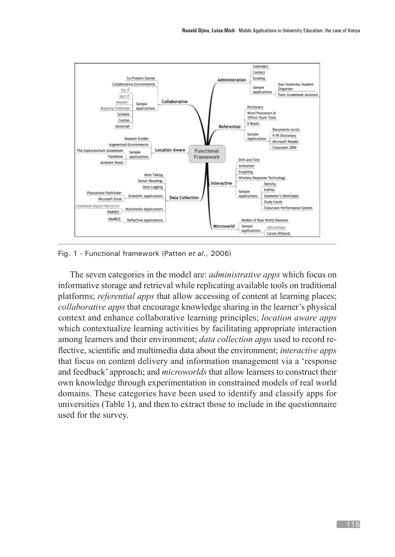

Fig. 1 - Functional framework (Patten *et al*., 2006)

The seven categories in the model are: *administrative apps* which focus on informative storage and retrieval while replicating available tools on traditional platforms; *referential apps* that allow accessing of content at learning places; *collaborative apps* that encourage knowledge sharing in the learner's physical context and enhance collaborative learning principles; *location aware apps* which contextualize learning activities by facilitating appropriate interaction among learners and their environment; *data collection apps* used to record reflective, scientific and multimedia data about the environment; *interactive apps* that focus on content delivery and information management via a 'response and feedback' approach; and *microworlds* that allow learners to construct their own knowledge through experimentation in constrained models of real world domains. These categories have been used to identify and classify apps for universities (Table 1), and then to extract those to include in the questionnaire used for the survey.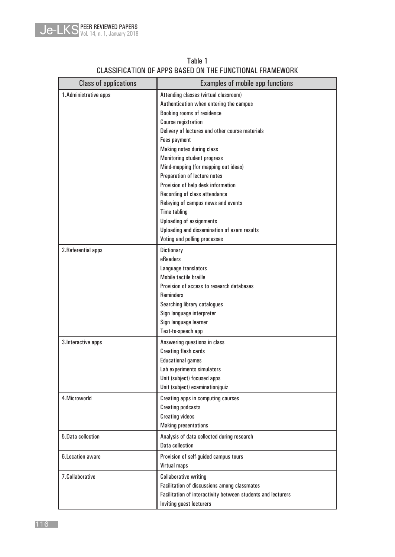

| <b>Class of applications</b> | <b>Examples of mobile app functions</b>                      |  |  |
|------------------------------|--------------------------------------------------------------|--|--|
| 1. Administrative apps       | Attending classes (virtual classroom)                        |  |  |
|                              | Authentication when entering the campus                      |  |  |
|                              | Booking rooms of residence                                   |  |  |
|                              | <b>Course registration</b>                                   |  |  |
|                              | Delivery of lectures and other course materials              |  |  |
|                              | Fees payment                                                 |  |  |
|                              | Making notes during class                                    |  |  |
|                              | <b>Monitoring student progress</b>                           |  |  |
|                              | Mind-mapping (for mapping out ideas)                         |  |  |
|                              | Preparation of lecture notes                                 |  |  |
|                              | Provision of help desk information                           |  |  |
|                              | Recording of class attendance                                |  |  |
|                              | Relaying of campus news and events                           |  |  |
|                              | <b>Time tabling</b>                                          |  |  |
|                              | Uploading of assignments                                     |  |  |
|                              | Uploading and dissemination of exam results                  |  |  |
|                              | Voting and polling processes                                 |  |  |
| 2. Referential apps          | Dictionary                                                   |  |  |
|                              | eReaders                                                     |  |  |
|                              | Language translators                                         |  |  |
|                              | Mobile tactile braille                                       |  |  |
|                              | Provision of access to research databases                    |  |  |
|                              | <b>Reminders</b>                                             |  |  |
|                              | Searching library catalogues                                 |  |  |
|                              | Sign language interpreter                                    |  |  |
|                              | Sign language learner                                        |  |  |
|                              | Text-to-speech app                                           |  |  |
| 3. Interactive apps          | Answering questions in class                                 |  |  |
|                              | <b>Creating flash cards</b>                                  |  |  |
|                              | <b>Educational games</b>                                     |  |  |
|                              | Lab experiments simulators                                   |  |  |
|                              | Unit (subject) focused apps                                  |  |  |
|                              | Unit (subject) examination/quiz                              |  |  |
| 4. Microworld                |                                                              |  |  |
|                              | Creating apps in computing courses                           |  |  |
|                              | <b>Creating podcasts</b>                                     |  |  |
|                              | <b>Creating videos</b>                                       |  |  |
|                              | <b>Making presentations</b>                                  |  |  |
| 5.Data collection            | Analysis of data collected during research                   |  |  |
|                              | <b>Data collection</b>                                       |  |  |
| 6. Location aware            | Provision of self-guided campus tours                        |  |  |
|                              | Virtual maps                                                 |  |  |
| 7.Collaborative              | <b>Collaborative writing</b>                                 |  |  |
|                              | Facilitation of discussions among classmates                 |  |  |
|                              | Facilitation of interactivity between students and lecturers |  |  |
|                              | Inviting guest lecturers                                     |  |  |

#### Table 1 CLASSIFICATION OF APPS BASED ON THE FUNCTIONAL FRAMEWORK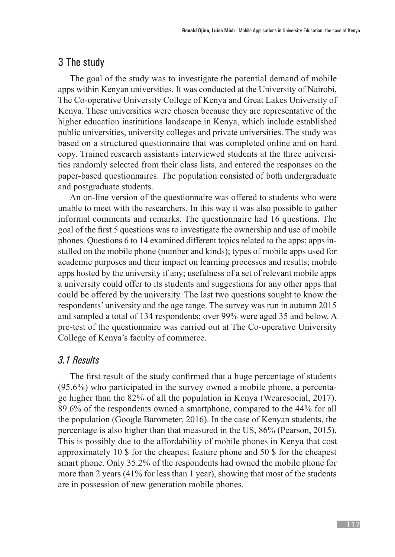# 3 The study

The goal of the study was to investigate the potential demand of mobile apps within Kenyan universities. It was conducted at the University of Nairobi, The Co-operative University College of Kenya and Great Lakes University of Kenya. These universities were chosen because they are representative of the higher education institutions landscape in Kenya, which include established public universities, university colleges and private universities. The study was based on a structured questionnaire that was completed online and on hard copy. Trained research assistants interviewed students at the three universities randomly selected from their class lists, and entered the responses on the paper-based questionnaires. The population consisted of both undergraduate and postgraduate students.

An on-line version of the questionnaire was offered to students who were unable to meet with the researchers. In this way it was also possible to gather informal comments and remarks. The questionnaire had 16 questions. The goal of the first 5 questions was to investigate the ownership and use of mobile phones. Questions 6 to 14 examined different topics related to the apps; apps installed on the mobile phone (number and kinds); types of mobile apps used for academic purposes and their impact on learning processes and results; mobile apps hosted by the university if any; usefulness of a set of relevant mobile apps a university could offer to its students and suggestions for any other apps that could be offered by the university. The last two questions sought to know the respondents' university and the age range. The survey was run in autumn 2015 and sampled a total of 134 respondents; over 99% were aged 35 and below. A pre-test of the questionnaire was carried out at The Co-operative University College of Kenya's faculty of commerce.

## *3.1 Results*

The first result of the study confirmed that a huge percentage of students (95.6%) who participated in the survey owned a mobile phone, a percentage higher than the 82% of all the population in Kenya (Wearesocial, 2017). 89.6% of the respondents owned a smartphone, compared to the 44% for all the population (Google Barometer, 2016). In the case of Kenyan students, the percentage is also higher than that measured in the US, 86% (Pearson, 2015). This is possibly due to the affordability of mobile phones in Kenya that cost approximately 10 \$ for the cheapest feature phone and 50 \$ for the cheapest smart phone. Only 35.2% of the respondents had owned the mobile phone for more than 2 years (41% for less than 1 year), showing that most of the students are in possession of new generation mobile phones.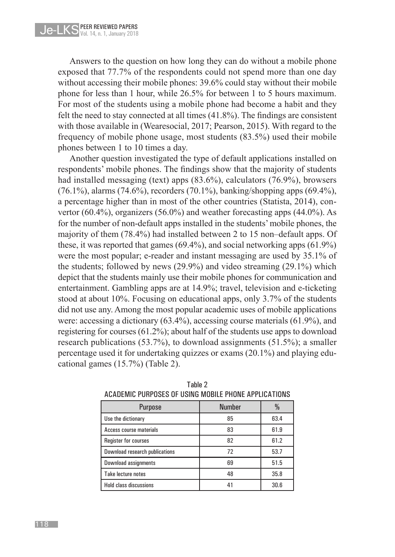Answers to the question on how long they can do without a mobile phone exposed that 77.7% of the respondents could not spend more than one day without accessing their mobile phones: 39.6% could stay without their mobile phone for less than 1 hour, while 26.5% for between 1 to 5 hours maximum. For most of the students using a mobile phone had become a habit and they felt the need to stay connected at all times (41.8%). The findings are consistent with those available in (Wearesocial, 2017; Pearson, 2015). With regard to the frequency of mobile phone usage, most students (83.5%) used their mobile phones between 1 to 10 times a day.

Another question investigated the type of default applications installed on respondents' mobile phones. The findings show that the majority of students had installed messaging (text) apps (83.6%), calculators (76.9%), browsers (76.1%), alarms (74.6%), recorders (70.1%), banking/shopping apps (69.4%), a percentage higher than in most of the other countries (Statista, 2014), convertor (60.4%), organizers (56.0%) and weather forecasting apps (44.0%). As for the number of non-default apps installed in the students' mobile phones, the majority of them (78.4%) had installed between 2 to 15 non–default apps. Of these, it was reported that games (69.4%), and social networking apps (61.9%) were the most popular; e-reader and instant messaging are used by 35.1% of the students; followed by news (29.9%) and video streaming (29.1%) which depict that the students mainly use their mobile phones for communication and entertainment. Gambling apps are at 14.9%; travel, television and e-ticketing stood at about 10%. Focusing on educational apps, only 3.7% of the students did not use any. Among the most popular academic uses of mobile applications were: accessing a dictionary (63.4%), accessing course materials (61.9%), and registering for courses (61.2%); about half of the students use apps to download research publications (53.7%), to download assignments (51.5%); a smaller percentage used it for undertaking quizzes or exams (20.1%) and playing educational games (15.7%) (Table 2).

| AVADLINIV I VIII VULU VI VUIIVU INVUILL I IIVIVL AI I LIVA I IVIVV |               |      |  |  |  |
|--------------------------------------------------------------------|---------------|------|--|--|--|
| <b>Purpose</b>                                                     | <b>Number</b> | $\%$ |  |  |  |
| Use the dictionary                                                 | 85            | 63.4 |  |  |  |
| Access course materials                                            | 83            | 61.9 |  |  |  |
| Register for courses                                               | 82            | 61.2 |  |  |  |
| Download research publications                                     | 72            | 53.7 |  |  |  |
| Download assignments                                               | 69            | 51.5 |  |  |  |
| Take lecture notes                                                 | 48            | 35.8 |  |  |  |
| <b>Hold class discussions</b>                                      | 41            | 30.6 |  |  |  |

Table 2 ACADEMIC PURPOSES OF USING MOBILE PHONE APPLICATIONS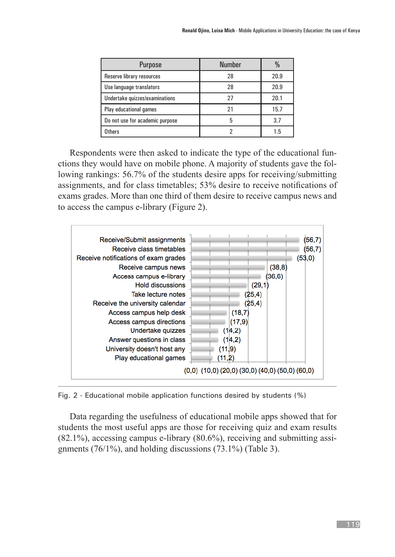| <b>Purpose</b>                  | <b>Number</b> |      |
|---------------------------------|---------------|------|
| Reserve library resources       | 28            | 20.9 |
| Use language translators        | 28            | 20.9 |
| Undertake quizzes/examinations  | 27            | 20.1 |
| Play educational games          | 21            | 15.7 |
| Do not use for academic purpose | 5             | 3.7  |
| <b>Others</b>                   |               | 1.5  |

Respondents were then asked to indicate the type of the educational functions they would have on mobile phone. A majority of students gave the following rankings: 56.7% of the students desire apps for receiving/submitting assignments, and for class timetables; 53% desire to receive notifications of exams grades. More than one third of them desire to receive campus news and to access the campus e-library (Figure 2).



Fig. 2 - Educational mobile application functions desired by students (%)

Data regarding the usefulness of educational mobile apps showed that for students the most useful apps are those for receiving quiz and exam results (82.1%), accessing campus e-library (80.6%), receiving and submitting assignments (76/1%), and holding discussions (73.1%) (Table 3).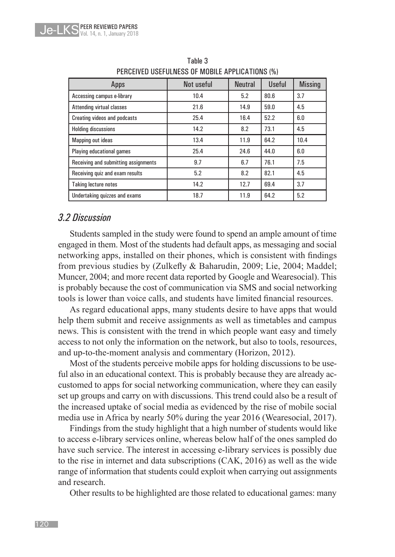| Apps                                 | Not useful | <b>Neutral</b> | <b>Useful</b> | <b>Missing</b> |
|--------------------------------------|------------|----------------|---------------|----------------|
| Accessing campus e-library           | 10.4       | 5.2            | 80.6          | 3.7            |
| <b>Attending virtual classes</b>     | 21.6       | 14.9           | 59.0          | 4.5            |
| Creating videos and podcasts         | 25.4       | 16.4           | 52.2          | 6.0            |
| <b>Holding discussions</b>           | 14.2       | 8.2            | 73.1          | 4.5            |
| <b>Mapping out ideas</b>             | 13.4       | 11.9           | 64.2          | 10.4           |
| Playing educational games            | 25.4       | 24.6           | 44.0          | 6.0            |
| Receiving and submitting assignments | 9.7        | 6.7            | 76.1          | 7.5            |
| Receiving quiz and exam results      | 5.2        | 8.2            | 82.1          | 4.5            |
| <b>Taking lecture notes</b>          | 14.2       | 12.7           | 69.4          | 3.7            |
| Undertaking quizzes and exams        | 18.7       | 11.9           | 64.2          | 5.2            |

Table 3 PERCEIVED USEFULNESS OF MOBILE APPLICATIONS (%)

#### *3.2 Discussion*

Students sampled in the study were found to spend an ample amount of time engaged in them. Most of the students had default apps, as messaging and social networking apps, installed on their phones, which is consistent with findings from previous studies by (Zulkefly & Baharudin, 2009; Lie, 2004; Maddel; Muncer, 2004; and more recent data reported by Google and Wearesocial). This is probably because the cost of communication via SMS and social networking tools is lower than voice calls, and students have limited financial resources.

As regard educational apps, many students desire to have apps that would help them submit and receive assignments as well as timetables and campus news. This is consistent with the trend in which people want easy and timely access to not only the information on the network, but also to tools, resources, and up-to-the-moment analysis and commentary (Horizon, 2012).

Most of the students perceive mobile apps for holding discussions to be useful also in an educational context. This is probably because they are already accustomed to apps for social networking communication, where they can easily set up groups and carry on with discussions. This trend could also be a result of the increased uptake of social media as evidenced by the rise of mobile social media use in Africa by nearly 50% during the year 2016 (Wearesocial, 2017).

Findings from the study highlight that a high number of students would like to access e-library services online, whereas below half of the ones sampled do have such service. The interest in accessing e-library services is possibly due to the rise in internet and data subscriptions (CAK, 2016) as well as the wide range of information that students could exploit when carrying out assignments and research.

Other results to be highlighted are those related to educational games: many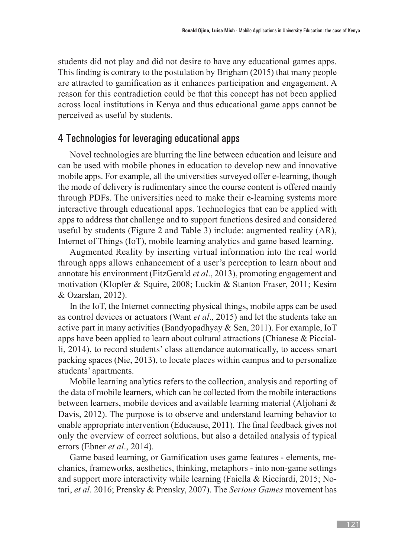students did not play and did not desire to have any educational games apps. This finding is contrary to the postulation by Brigham (2015) that many people are attracted to gamification as it enhances participation and engagement. A reason for this contradiction could be that this concept has not been applied across local institutions in Kenya and thus educational game apps cannot be perceived as useful by students.

#### 4 Technologies for leveraging educational apps

Novel technologies are blurring the line between education and leisure and can be used with mobile phones in education to develop new and innovative mobile apps. For example, all the universities surveyed offer e-learning, though the mode of delivery is rudimentary since the course content is offered mainly through PDFs. The universities need to make their e-learning systems more interactive through educational apps. Technologies that can be applied with apps to address that challenge and to support functions desired and considered useful by students (Figure 2 and Table 3) include: augmented reality (AR), Internet of Things (IoT), mobile learning analytics and game based learning.

Augmented Reality by inserting virtual information into the real world through apps allows enhancement of a user's perception to learn about and annotate his environment (FitzGerald *et al*., 2013), promoting engagement and motivation (Klopfer & Squire, 2008; Luckin & Stanton Fraser, 2011; Kesim & Ozarslan, 2012).

In the IoT, the Internet connecting physical things, mobile apps can be used as control devices or actuators (Want *et al*., 2015) and let the students take an active part in many activities (Bandyopadhyay & Sen, 2011). For example, IoT apps have been applied to learn about cultural attractions (Chianese & Piccialli, 2014), to record students' class attendance automatically, to access smart packing spaces (Nie, 2013), to locate places within campus and to personalize students' apartments.

Mobile learning analytics refers to the collection, analysis and reporting of the data of mobile learners, which can be collected from the mobile interactions between learners, mobile devices and available learning material (Aljohani & Davis, 2012). The purpose is to observe and understand learning behavior to enable appropriate intervention (Educause, 2011). The final feedback gives not only the overview of correct solutions, but also a detailed analysis of typical errors (Ebner *et al*., 2014).

Game based learning, or Gamification uses game features - elements, mechanics, frameworks, aesthetics, thinking, metaphors - into non-game settings and support more interactivity while learning (Faiella & Ricciardi, 2015; Notari, *et al*. 2016; Prensky & Prensky, 2007). The *Serious Games* movement has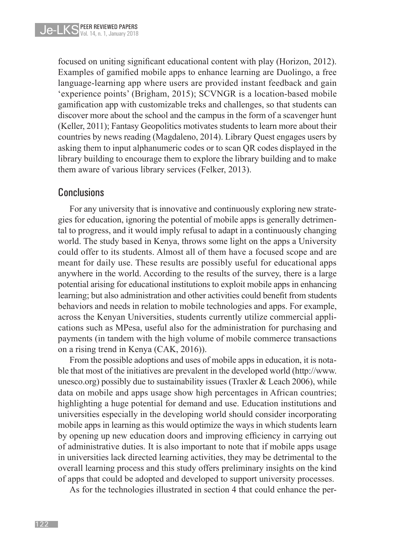focused on uniting significant educational content with play (Horizon, 2012). Examples of gamified mobile apps to enhance learning are Duolingo, a free language-learning app where users are provided instant feedback and gain 'experience points' (Brigham, 2015); SCVNGR is a location-based mobile gamification app with customizable treks and challenges, so that students can discover more about the school and the campus in the form of a scavenger hunt (Keller, 2011); Fantasy Geopolitics motivates students to learn more about their countries by news reading (Magdaleno, 2014). Library Quest engages users by asking them to input alphanumeric codes or to scan QR codes displayed in the library building to encourage them to explore the library building and to make them aware of various library services (Felker, 2013).

#### Conclusions

For any university that is innovative and continuously exploring new strategies for education, ignoring the potential of mobile apps is generally detrimental to progress, and it would imply refusal to adapt in a continuously changing world. The study based in Kenya, throws some light on the apps a University could offer to its students. Almost all of them have a focused scope and are meant for daily use. These results are possibly useful for educational apps anywhere in the world. According to the results of the survey, there is a large potential arising for educational institutions to exploit mobile apps in enhancing learning; but also administration and other activities could benefit from students behaviors and needs in relation to mobile technologies and apps. For example, across the Kenyan Universities, students currently utilize commercial applications such as MPesa, useful also for the administration for purchasing and payments (in tandem with the high volume of mobile commerce transactions on a rising trend in Kenya (CAK, 2016)).

From the possible adoptions and uses of mobile apps in education, it is notable that most of the initiatives are prevalent in the developed world (http://www. unesco.org) possibly due to sustainability issues (Traxler  $&$  Leach 2006), while data on mobile and apps usage show high percentages in African countries; highlighting a huge potential for demand and use. Education institutions and universities especially in the developing world should consider incorporating mobile apps in learning as this would optimize the ways in which students learn by opening up new education doors and improving efficiency in carrying out of administrative duties. It is also important to note that if mobile apps usage in universities lack directed learning activities, they may be detrimental to the overall learning process and this study offers preliminary insights on the kind of apps that could be adopted and developed to support university processes.

As for the technologies illustrated in section 4 that could enhance the per-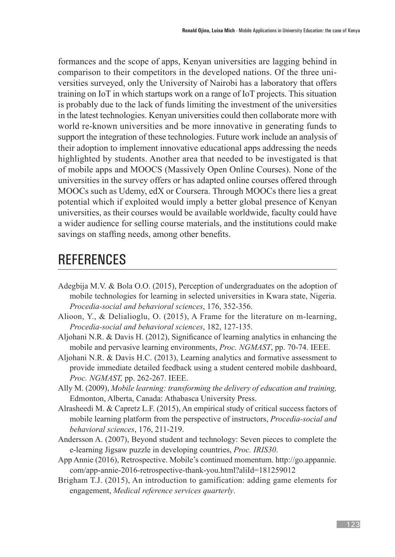formances and the scope of apps, Kenyan universities are lagging behind in comparison to their competitors in the developed nations. Of the three universities surveyed, only the University of Nairobi has a laboratory that offers training on IoT in which startups work on a range of IoT projects. This situation is probably due to the lack of funds limiting the investment of the universities in the latest technologies. Kenyan universities could then collaborate more with world re-known universities and be more innovative in generating funds to support the integration of these technologies. Future work include an analysis of their adoption to implement innovative educational apps addressing the needs highlighted by students. Another area that needed to be investigated is that of mobile apps and MOOCS (Massively Open Online Courses). None of the universities in the survey offers or has adapted online courses offered through MOOCs such as Udemy, edX or Coursera. Through MOOCs there lies a great potential which if exploited would imply a better global presence of Kenyan universities, as their courses would be available worldwide, faculty could have a wider audience for selling course materials, and the institutions could make savings on staffing needs, among other benefits.

# **REFERENCES**

- Adegbija M.V. & Bola O.O. (2015), Perception of undergraduates on the adoption of mobile technologies for learning in selected universities in Kwara state, Nigeria. *Procedia-social and behavioral sciences*, 176, 352-356.
- Alioon, Y., & Delialioglu, O. (2015), A Frame for the literature on m-learning, *Procedia-social and behavioral sciences*, 182, 127-135.
- Aljohani N.R. & Davis H. (2012), Significance of learning analytics in enhancing the mobile and pervasive learning environments, *Proc. NGMAST*, pp. 70-74. IEEE.
- Aljohani N.R. & Davis H.C. (2013), Learning analytics and formative assessment to provide immediate detailed feedback using a student centered mobile dashboard, *Proc. NGMAST,* pp. 262-267. IEEE.
- Ally M. (2009), *Mobile learning: transforming the delivery of education and training,*  Edmonton, Alberta, Canada: Athabasca University Press.
- Alrasheedi M. & Capretz L.F. (2015), An empirical study of critical success factors of mobile learning platform from the perspective of instructors, *Procedia-social and behavioral sciences*, 176, 211-219.
- Andersson A. (2007), Beyond student and technology: Seven pieces to complete the e-learning Jigsaw puzzle in developing countries, *Proc. IRIS30*.
- App Annie (2016), Retrospective. Mobile's continued momentum. http://go.appannie. com/app-annie-2016-retrospective-thank-you.html?aliId=181259012
- Brigham T.J. (2015), An introduction to gamification: adding game elements for engagement, *Medical reference services quarterly*.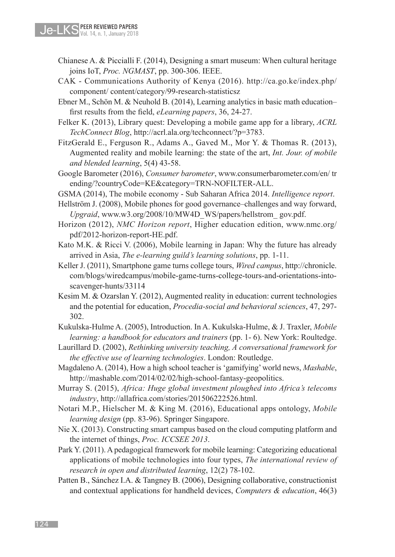- Chianese A. & Piccialli F. (2014), Designing a smart museum: When cultural heritage joins IoT, *Proc. NGMAST*, pp. 300-306. IEEE.
- CAK Communications Authority of Kenya (2016). http://ca.go.ke/index.php/ component/ content/category/99-research-statisticsz
- Ebner M., Schön M. & Neuhold B. (2014), Learning analytics in basic math education– first results from the field, *eLearning papers*, 36, 24-27.
- Felker K. (2013), Library quest: Developing a mobile game app for a library, *ACRL TechConnect Blog*, http://acrl.ala.org/techconnect/?p=3783.
- FitzGerald E., Ferguson R., Adams A., Gaved M., Mor Y. & Thomas R. (2013), Augmented reality and mobile learning: the state of the art, *Int. Jour. of mobile and blended learning*, 5(4) 43-58.
- Google Barometer (2016), *Consumer barometer*, www.consumerbarometer.com/en/ tr ending/?countryCode=KE&category=TRN-NOFILTER-ALL.
- GSMA (2014), The mobile economy Sub Saharan Africa 2014. *Intelligence report*.
- Hellström J. (2008), Mobile phones for good governance–challenges and way forward, *Upgraid*, www.w3.org/2008/10/MW4D\_WS/papers/hellstrom\_ gov.pdf.
- Horizon (2012), *NMC Horizon report*, Higher education edition, www.nmc.org/ pdf/2012-horizon-report-HE.pdf.
- Kato M.K. & Ricci V. (2006), Mobile learning in Japan: Why the future has already arrived in Asia, *The e-learning guild's learning solutions*, pp. 1-11.
- Keller J. (2011), Smartphone game turns college tours, *Wired campus*, http://chronicle. com/blogs/wiredcampus/mobile-game-turns-college-tours-and-orientations-intoscavenger-hunts/33114
- Kesim M. & Ozarslan Y. (2012), Augmented reality in education: current technologies and the potential for education, *Procedia-social and behavioral sciences*, 47, 297- 302.
- Kukulska-Hulme A. (2005), Introduction. In A. Kukulska-Hulme, & J. Traxler, *Mobile learning: a handbook for educators and trainers* (pp. 1- 6). New York: Roultedge.
- Laurillard D. (2002), *Rethinking university teaching, A conversational framework for the effective use of learning technologies*. London: Routledge.
- Magdaleno A. (2014), How a high school teacher is 'gamifying' world news, *Mashable*, http://mashable.com/2014/02/02/high-school-fantasy-geopolitics.
- Murray S. (2015), *Africa: Huge global investment ploughed into Africa's telecoms industry*, http://allafrica.com/stories/201506222526.html.
- Notari M.P., Hielscher M. & King M. (2016), Educational apps ontology, *Mobile learning design* (pp. 83-96). Springer Singapore.
- Nie X. (2013). Constructing smart campus based on the cloud computing platform and the internet of things, *Proc. ICCSEE 2013*.
- Park Y. (2011). A pedagogical framework for mobile learning: Categorizing educational applications of mobile technologies into four types, *The international review of research in open and distributed learning*, 12(2) 78-102.
- Patten B., Sánchez I.A. & Tangney B. (2006), Designing collaborative, constructionist and contextual applications for handheld devices, *Computers & education*, 46(3)